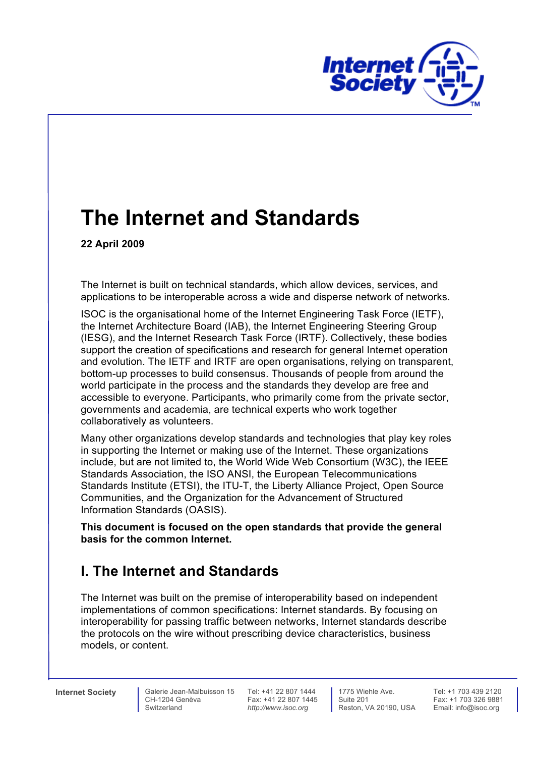

# **The Internet and Standards**

 **22 April 2009** 

 The Internet is built on technical standards, which allow devices, services, and applications to be interoperable across a wide and disperse network of networks.

 ISOC is the organisational home of the Internet Engineering Task Force (IETF), the Internet Architecture Board (IAB), the Internet Engineering Steering Group (IESG), and the Internet Research Task Force (IRTF). Collectively, these bodies support the creation of specifications and research for general Internet operation and evolution. The IETF and IRTF are open organisations, relying on transparent, bottom-up processes to build consensus. Thousands of people from around the world participate in the process and the standards they develop are free and accessible to everyone. Participants, who primarily come from the private sector, governments and academia, are technical experts who work together collaboratively as volunteers.

 Many other organizations develop standards and technologies that play key roles in supporting the Internet or making use of the Internet. These organizations include, but are not limited to, the World Wide Web Consortium (W3C), the IEEE Standards Association, the ISO ANSI, the European Telecommunications Standards Institute (ETSI), the ITU-T, the Liberty Alliance Project, Open Source Communities, and the Organization for the Advancement of Structured Information Standards (OASIS).

 **This document is focused on the open standards that provide the general basis for the common Internet.** 

### **I. The Internet and Standards**

 The Internet was built on the premise of interoperability based on independent implementations of common specifications: Internet standards. By focusing on interoperability for passing traffic between networks, Internet standards describe the protocols on the wire without prescribing device characteristics, business models, or content.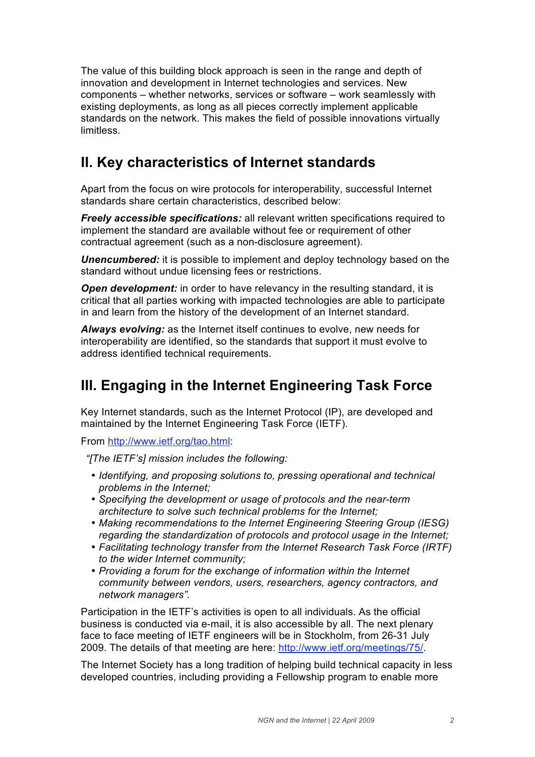The value of this building block approach is seen in the range and depth of innovation and development in Internet technologies and services. New components – whether networks, services or software – work seamlessly with existing deployments, as long as all pieces correctly implement applicable standards on the network. This makes the field of possible innovations virtually limitless.

### **II. Key characteristics of Internet standards**

 Apart from the focus on wire protocols for interoperability, successful Internet standards share certain characteristics, described below:

 *Freely accessible specifications:* all relevant written specifications required to implement the standard are available without fee or requirement of other contractual agreement (such as a non-disclosure agreement).

 *Unencumbered:* it is possible to implement and deploy technology based on the standard without undue licensing fees or restrictions.

 *Open development:* in order to have relevancy in the resulting standard, it is critical that all parties working with impacted technologies are able to participate in and learn from the history of the development of an Internet standard.

 *Always evolving:* as the Internet itself continues to evolve, new needs for interoperability are identified, so the standards that support it must evolve to address identified technical requirements.

#### **III. Engaging in the Internet Engineering Task Force**

 Key Internet standards, such as the Internet Protocol (IP), are developed and maintained by the Internet Engineering Task Force (IETF).

From http://www.ietf.org/tao.html:

 *"[The IETF's] mission includes the following:* 

- *Identifying, and proposing solutions to, pressing operational and technical problems in the Internet;*
- *Specifying the development or usage of protocols and the near-term architecture to solve such technical problems for the Internet;*
- *Making recommendations to the Internet Engineering Steering Group (IESG) regarding the standardization of protocols and protocol usage in the Internet;*
- *Facilitating technology transfer from the Internet Research Task Force (IRTF) to the wider Internet community;*
- *Providing a forum for the exchange of information within the Internet community between vendors, users, researchers, agency contractors, and network managers".*

 Participation in the IETF's activities is open to all individuals. As the official business is conducted via e-mail, it is also accessible by all. The next plenary face to face meeting of IETF engineers will be in Stockholm, from 26-31 July 2009. The details of that meeting are here: http://www.ietf.org/meetings/75/.

 The Internet Society has a long tradition of helping build technical capacity in less developed countries, including providing a Fellowship program to enable more